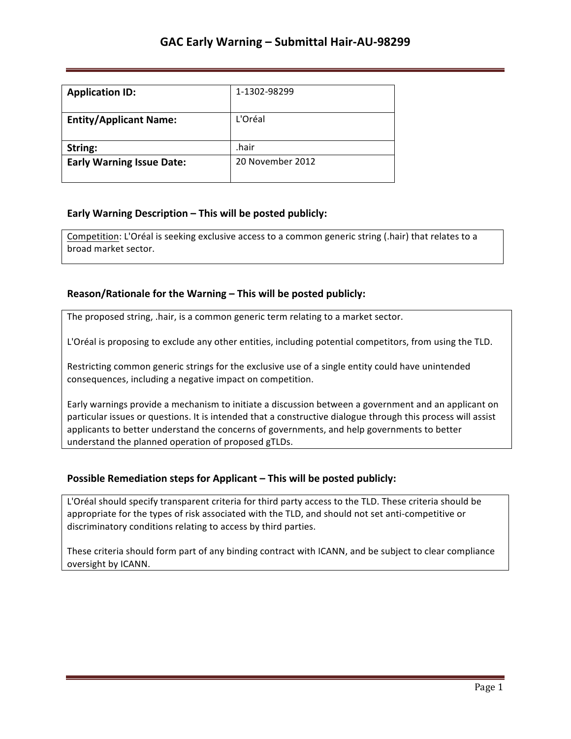| <b>Application ID:</b>           | 1-1302-98299     |
|----------------------------------|------------------|
| <b>Entity/Applicant Name:</b>    | L'Oréal          |
| String:                          | .hair            |
| <b>Early Warning Issue Date:</b> | 20 November 2012 |

## **Early Warning Description – This will be posted publicly:**

Competition: L'Oréal is seeking exclusive access to a common generic string (.hair) that relates to a broad market sector.

### **Reason/Rationale for the Warning – This will be posted publicly:**

The proposed string, .hair, is a common generic term relating to a market sector.

L'Oréal is proposing to exclude any other entities, including potential competitors, from using the TLD.

Restricting common generic strings for the exclusive use of a single entity could have unintended consequences, including a negative impact on competition.

Early warnings provide a mechanism to initiate a discussion between a government and an applicant on particular issues or questions. It is intended that a constructive dialogue through this process will assist applicants to better understand the concerns of governments, and help governments to better understand the planned operation of proposed gTLDs.

### **Possible Remediation steps for Applicant – This will be posted publicly:**

L'Oréal should specify transparent criteria for third party access to the TLD. These criteria should be appropriate for the types of risk associated with the TLD, and should not set anti-competitive or discriminatory conditions relating to access by third parties.

These criteria should form part of any binding contract with ICANN, and be subject to clear compliance oversight by ICANN.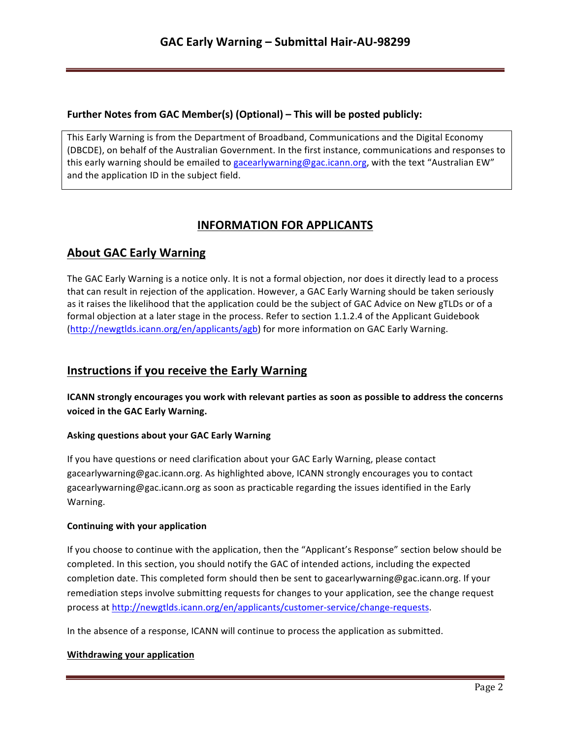## **Further Notes from GAC Member(s) (Optional) – This will be posted publicly:**

This Early Warning is from the Department of Broadband, Communications and the Digital Economy (DBCDE), on behalf of the Australian Government. In the first instance, communications and responses to this early warning should be emailed to gacearlywarning@gac.icann.org, with the text "Australian EW" and the application ID in the subject field.

# **INFORMATION FOR APPLICANTS**

# **About GAC Early Warning**

The GAC Early Warning is a notice only. It is not a formal objection, nor does it directly lead to a process that can result in rejection of the application. However, a GAC Early Warning should be taken seriously as it raises the likelihood that the application could be the subject of GAC Advice on New gTLDs or of a formal objection at a later stage in the process. Refer to section 1.1.2.4 of the Applicant Guidebook (http://newgtlds.icann.org/en/applicants/agb) for more information on GAC Early Warning.

## **Instructions if you receive the Early Warning**

**ICANN** strongly encourages you work with relevant parties as soon as possible to address the concerns voiced in the GAC Early Warning.

### **Asking questions about your GAC Early Warning**

If you have questions or need clarification about your GAC Early Warning, please contact gacearlywarning@gac.icann.org. As highlighted above, ICANN strongly encourages you to contact gacearlywarning@gac.icann.org as soon as practicable regarding the issues identified in the Early Warning. 

### **Continuing with your application**

If you choose to continue with the application, then the "Applicant's Response" section below should be completed. In this section, you should notify the GAC of intended actions, including the expected completion date. This completed form should then be sent to gacearlywarning@gac.icann.org. If your remediation steps involve submitting requests for changes to your application, see the change request process at http://newgtlds.icann.org/en/applicants/customer-service/change-requests.

In the absence of a response, ICANN will continue to process the application as submitted.

### **Withdrawing your application**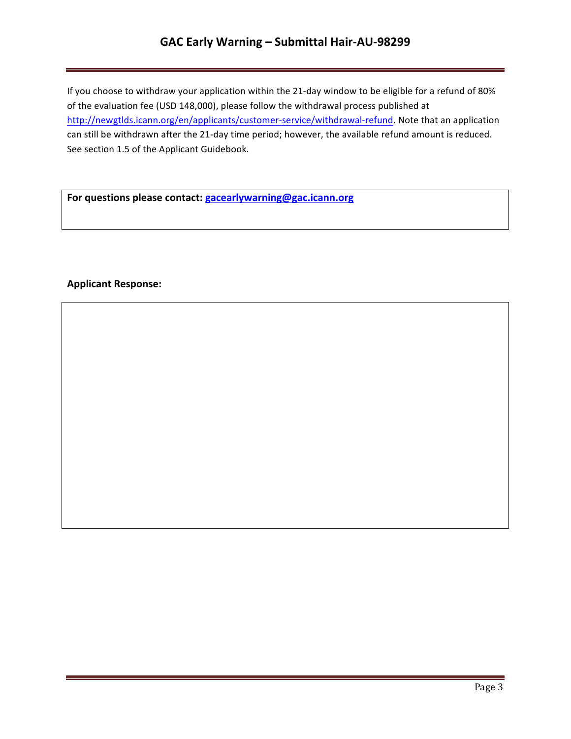# **GAC Early Warning – Submittal Hair-AU-98299**

If you choose to withdraw your application within the 21-day window to be eligible for a refund of 80% of the evaluation fee (USD 148,000), please follow the withdrawal process published at http://newgtlds.icann.org/en/applicants/customer-service/withdrawal-refund. Note that an application can still be withdrawn after the 21-day time period; however, the available refund amount is reduced. See section 1.5 of the Applicant Guidebook.

For questions please contact: **gacearlywarning@gac.icann.org** 

### **Applicant Response:**